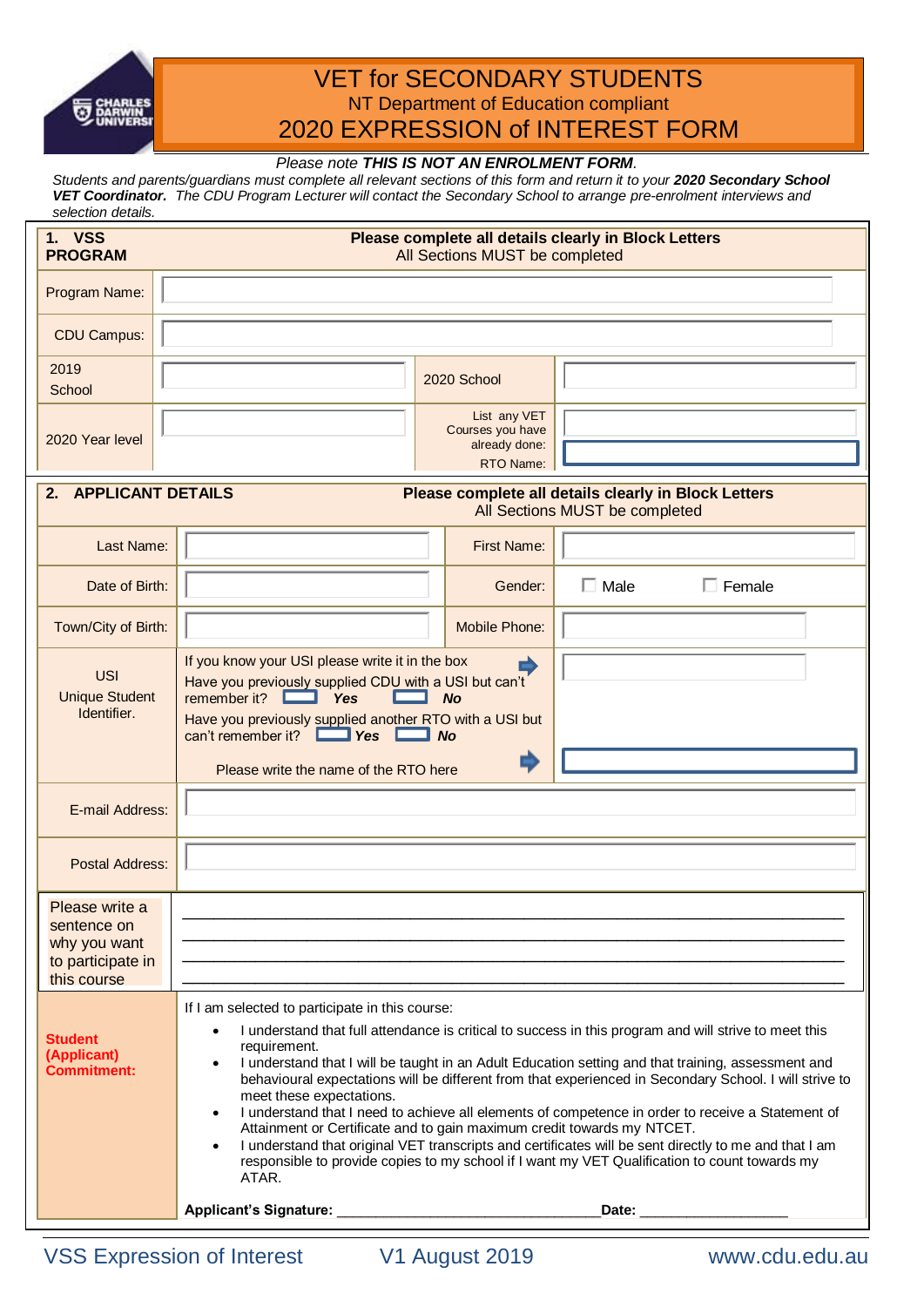

# VET for SECONDARY STUDENTS NT Department of Education compliant 2020 EXPRESSION of INTEREST FORM

# *Please note THIS IS NOT AN ENROLMENT FORM.*

*Students and parents/guardians must complete all relevant sections of this form and return it to your 2020 Secondary School VET Coordinator. The CDU Program Lecturer will contact the Secondary School to arrange pre-enrolment interviews and selection details.*

| <b>1. VSS</b><br><b>PROGRAM</b>                                                                                          | Please complete all details clearly in Block Letters<br>All Sections MUST be completed                                                                                                                                                                                                                                                                                                                                                                                                                                                                                                                                                                                                                                                                                                                                                                                     |                                                                |                               |  |
|--------------------------------------------------------------------------------------------------------------------------|----------------------------------------------------------------------------------------------------------------------------------------------------------------------------------------------------------------------------------------------------------------------------------------------------------------------------------------------------------------------------------------------------------------------------------------------------------------------------------------------------------------------------------------------------------------------------------------------------------------------------------------------------------------------------------------------------------------------------------------------------------------------------------------------------------------------------------------------------------------------------|----------------------------------------------------------------|-------------------------------|--|
| Program Name:                                                                                                            |                                                                                                                                                                                                                                                                                                                                                                                                                                                                                                                                                                                                                                                                                                                                                                                                                                                                            |                                                                |                               |  |
| <b>CDU Campus:</b>                                                                                                       |                                                                                                                                                                                                                                                                                                                                                                                                                                                                                                                                                                                                                                                                                                                                                                                                                                                                            |                                                                |                               |  |
| 2019<br>School                                                                                                           |                                                                                                                                                                                                                                                                                                                                                                                                                                                                                                                                                                                                                                                                                                                                                                                                                                                                            | 2020 School                                                    |                               |  |
| 2020 Year level                                                                                                          |                                                                                                                                                                                                                                                                                                                                                                                                                                                                                                                                                                                                                                                                                                                                                                                                                                                                            | List any VET<br>Courses you have<br>already done:<br>RTO Name: |                               |  |
| <b>APPLICANT DETAILS</b><br>Please complete all details clearly in Block Letters<br>2.<br>All Sections MUST be completed |                                                                                                                                                                                                                                                                                                                                                                                                                                                                                                                                                                                                                                                                                                                                                                                                                                                                            |                                                                |                               |  |
| Last Name:                                                                                                               |                                                                                                                                                                                                                                                                                                                                                                                                                                                                                                                                                                                                                                                                                                                                                                                                                                                                            | <b>First Name:</b>                                             |                               |  |
| Date of Birth:                                                                                                           |                                                                                                                                                                                                                                                                                                                                                                                                                                                                                                                                                                                                                                                                                                                                                                                                                                                                            | Gender:                                                        | $\Box$ Male<br>$\Box$ Female  |  |
| Town/City of Birth:                                                                                                      |                                                                                                                                                                                                                                                                                                                                                                                                                                                                                                                                                                                                                                                                                                                                                                                                                                                                            | <b>Mobile Phone:</b>                                           |                               |  |
| <b>USI</b><br><b>Unique Student</b><br>Identifier.                                                                       | If you know your USI please write it in the box<br>Have you previously supplied CDU with a USI but can't<br>remember it?<br>Yes<br>Have you previously supplied another RTO with a USI but<br>can't remember it? <b>Nes</b> D<br>Please write the name of the RTO here                                                                                                                                                                                                                                                                                                                                                                                                                                                                                                                                                                                                     | No<br>$\Box$ No                                                |                               |  |
| E-mail Address:                                                                                                          |                                                                                                                                                                                                                                                                                                                                                                                                                                                                                                                                                                                                                                                                                                                                                                                                                                                                            |                                                                |                               |  |
| <b>Postal Address:</b>                                                                                                   |                                                                                                                                                                                                                                                                                                                                                                                                                                                                                                                                                                                                                                                                                                                                                                                                                                                                            |                                                                |                               |  |
| Please write a<br>sentence on<br>why you want<br>to participate in<br>this course                                        |                                                                                                                                                                                                                                                                                                                                                                                                                                                                                                                                                                                                                                                                                                                                                                                                                                                                            |                                                                |                               |  |
| <b>Student</b><br>(Applicant)<br><b>Commitment:</b>                                                                      | If I am selected to participate in this course:<br>I understand that full attendance is critical to success in this program and will strive to meet this<br>$\bullet$<br>requirement.<br>I understand that I will be taught in an Adult Education setting and that training, assessment and<br>$\bullet$<br>behavioural expectations will be different from that experienced in Secondary School. I will strive to<br>meet these expectations.<br>I understand that I need to achieve all elements of competence in order to receive a Statement of<br>$\bullet$<br>Attainment or Certificate and to gain maximum credit towards my NTCET.<br>I understand that original VET transcripts and certificates will be sent directly to me and that I am<br>$\bullet$<br>responsible to provide copies to my school if I want my VET Qualification to count towards my<br>ATAR. |                                                                |                               |  |
|                                                                                                                          |                                                                                                                                                                                                                                                                                                                                                                                                                                                                                                                                                                                                                                                                                                                                                                                                                                                                            |                                                                | Date: _______________________ |  |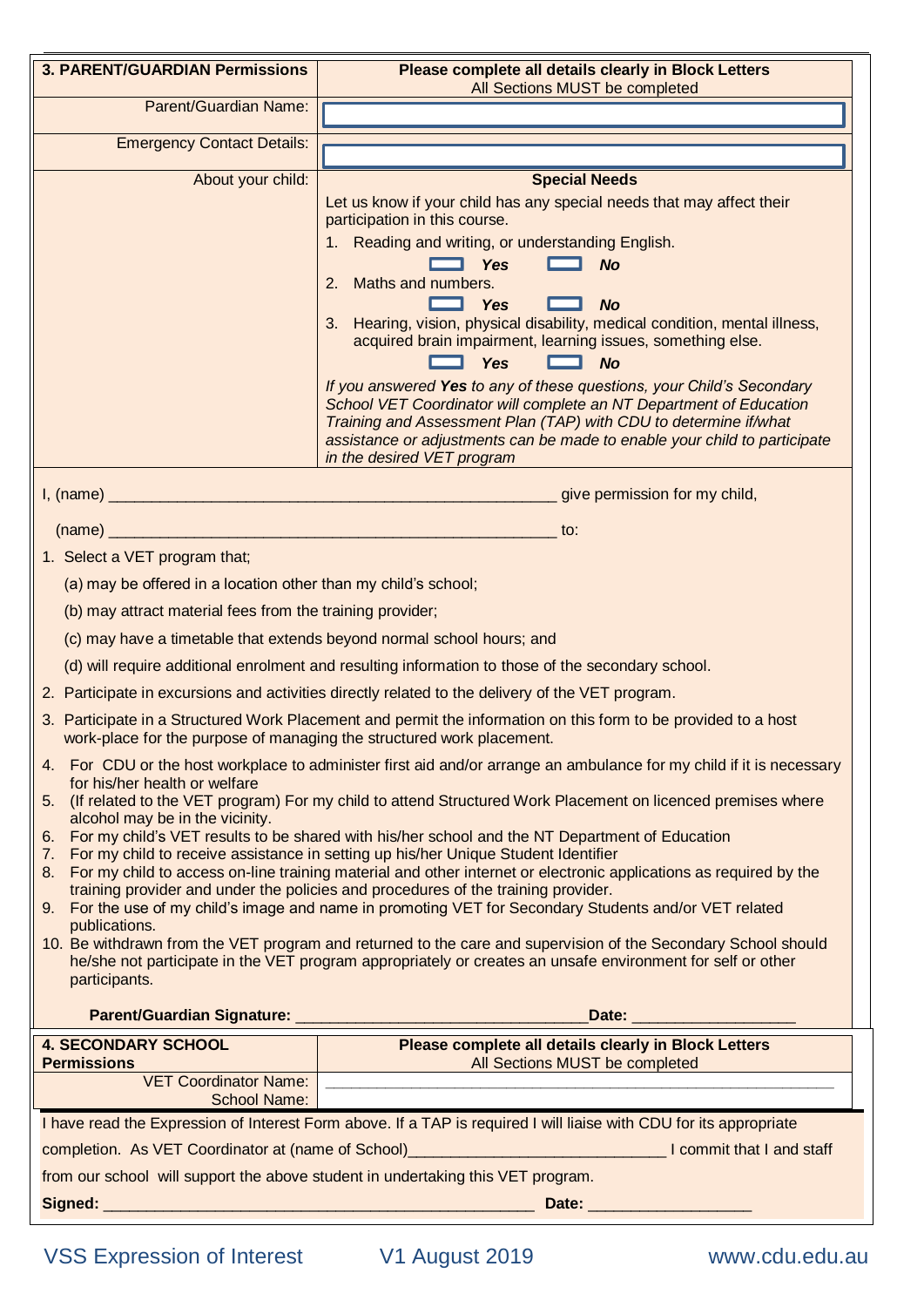| <b>3. PARENT/GUARDIAN Permissions</b>                                                                                                                                                                                                                                                                                                                                                                                                                                                                                                                                                                                                                                                                                    | Please complete all details clearly in Block Letters<br>All Sections MUST be completed                                                                                                                                                                                                                                                                                                                           |  |  |  |
|--------------------------------------------------------------------------------------------------------------------------------------------------------------------------------------------------------------------------------------------------------------------------------------------------------------------------------------------------------------------------------------------------------------------------------------------------------------------------------------------------------------------------------------------------------------------------------------------------------------------------------------------------------------------------------------------------------------------------|------------------------------------------------------------------------------------------------------------------------------------------------------------------------------------------------------------------------------------------------------------------------------------------------------------------------------------------------------------------------------------------------------------------|--|--|--|
| Parent/Guardian Name:                                                                                                                                                                                                                                                                                                                                                                                                                                                                                                                                                                                                                                                                                                    |                                                                                                                                                                                                                                                                                                                                                                                                                  |  |  |  |
| <b>Emergency Contact Details:</b>                                                                                                                                                                                                                                                                                                                                                                                                                                                                                                                                                                                                                                                                                        |                                                                                                                                                                                                                                                                                                                                                                                                                  |  |  |  |
|                                                                                                                                                                                                                                                                                                                                                                                                                                                                                                                                                                                                                                                                                                                          |                                                                                                                                                                                                                                                                                                                                                                                                                  |  |  |  |
| About your child:                                                                                                                                                                                                                                                                                                                                                                                                                                                                                                                                                                                                                                                                                                        | <b>Special Needs</b><br>Let us know if your child has any special needs that may affect their<br>participation in this course.<br>Reading and writing, or understanding English.<br><b>Yes</b><br><b>No</b><br>Maths and numbers.<br>2.<br><b>Yes</b><br><b>No</b><br>3. Hearing, vision, physical disability, medical condition, mental illness,<br>acquired brain impairment, learning issues, something else. |  |  |  |
|                                                                                                                                                                                                                                                                                                                                                                                                                                                                                                                                                                                                                                                                                                                          | <b>Yes</b><br><b>No</b><br>If you answered Yes to any of these questions, your Child's Secondary<br>School VET Coordinator will complete an NT Department of Education<br>Training and Assessment Plan (TAP) with CDU to determine if/what<br>assistance or adjustments can be made to enable your child to participate<br>in the desired VET program                                                            |  |  |  |
| give permission for my child,                                                                                                                                                                                                                                                                                                                                                                                                                                                                                                                                                                                                                                                                                            |                                                                                                                                                                                                                                                                                                                                                                                                                  |  |  |  |
| (name)                                                                                                                                                                                                                                                                                                                                                                                                                                                                                                                                                                                                                                                                                                                   | <u> 1980 - Jan Stein Berg, mars an t-Amerikaansk kommunister (</u><br>to:                                                                                                                                                                                                                                                                                                                                        |  |  |  |
| 1. Select a VET program that;                                                                                                                                                                                                                                                                                                                                                                                                                                                                                                                                                                                                                                                                                            |                                                                                                                                                                                                                                                                                                                                                                                                                  |  |  |  |
| (a) may be offered in a location other than my child's school;                                                                                                                                                                                                                                                                                                                                                                                                                                                                                                                                                                                                                                                           |                                                                                                                                                                                                                                                                                                                                                                                                                  |  |  |  |
| (b) may attract material fees from the training provider;                                                                                                                                                                                                                                                                                                                                                                                                                                                                                                                                                                                                                                                                |                                                                                                                                                                                                                                                                                                                                                                                                                  |  |  |  |
| (c) may have a timetable that extends beyond normal school hours; and                                                                                                                                                                                                                                                                                                                                                                                                                                                                                                                                                                                                                                                    |                                                                                                                                                                                                                                                                                                                                                                                                                  |  |  |  |
|                                                                                                                                                                                                                                                                                                                                                                                                                                                                                                                                                                                                                                                                                                                          | (d) will require additional enrolment and resulting information to those of the secondary school.                                                                                                                                                                                                                                                                                                                |  |  |  |
|                                                                                                                                                                                                                                                                                                                                                                                                                                                                                                                                                                                                                                                                                                                          | 2. Participate in excursions and activities directly related to the delivery of the VET program.                                                                                                                                                                                                                                                                                                                 |  |  |  |
| work-place for the purpose of managing the structured work placement.                                                                                                                                                                                                                                                                                                                                                                                                                                                                                                                                                                                                                                                    | 3. Participate in a Structured Work Placement and permit the information on this form to be provided to a host                                                                                                                                                                                                                                                                                                   |  |  |  |
| 4. For CDU or the host workplace to administer first aid and/or arrange an ambulance for my child if it is necessary<br>for his/her health or welfare<br>5. (If related to the VET program) For my child to attend Structured Work Placement on licenced premises where<br>alcohol may be in the vicinity.<br>6. For my child's VET results to be shared with his/her school and the NT Department of Education<br>For my child to receive assistance in setting up his/her Unique Student Identifier<br>7.<br>8. For my child to access on-line training material and other internet or electronic applications as required by the<br>training provider and under the policies and procedures of the training provider. |                                                                                                                                                                                                                                                                                                                                                                                                                  |  |  |  |
| 9. For the use of my child's image and name in promoting VET for Secondary Students and/or VET related<br>publications.<br>10. Be withdrawn from the VET program and returned to the care and supervision of the Secondary School should<br>he/she not participate in the VET program appropriately or creates an unsafe environment for self or other<br>participants.                                                                                                                                                                                                                                                                                                                                                  |                                                                                                                                                                                                                                                                                                                                                                                                                  |  |  |  |
|                                                                                                                                                                                                                                                                                                                                                                                                                                                                                                                                                                                                                                                                                                                          |                                                                                                                                                                                                                                                                                                                                                                                                                  |  |  |  |
| <b>4. SECONDARY SCHOOL</b><br><b>Permissions</b>                                                                                                                                                                                                                                                                                                                                                                                                                                                                                                                                                                                                                                                                         | Please complete all details clearly in Block Letters<br>All Sections MUST be completed                                                                                                                                                                                                                                                                                                                           |  |  |  |
| School Name:                                                                                                                                                                                                                                                                                                                                                                                                                                                                                                                                                                                                                                                                                                             |                                                                                                                                                                                                                                                                                                                                                                                                                  |  |  |  |
|                                                                                                                                                                                                                                                                                                                                                                                                                                                                                                                                                                                                                                                                                                                          | I have read the Expression of Interest Form above. If a TAP is required I will liaise with CDU for its appropriate                                                                                                                                                                                                                                                                                               |  |  |  |
|                                                                                                                                                                                                                                                                                                                                                                                                                                                                                                                                                                                                                                                                                                                          |                                                                                                                                                                                                                                                                                                                                                                                                                  |  |  |  |
| from our school will support the above student in undertaking this VET program.                                                                                                                                                                                                                                                                                                                                                                                                                                                                                                                                                                                                                                          |                                                                                                                                                                                                                                                                                                                                                                                                                  |  |  |  |
|                                                                                                                                                                                                                                                                                                                                                                                                                                                                                                                                                                                                                                                                                                                          |                                                                                                                                                                                                                                                                                                                                                                                                                  |  |  |  |
|                                                                                                                                                                                                                                                                                                                                                                                                                                                                                                                                                                                                                                                                                                                          |                                                                                                                                                                                                                                                                                                                                                                                                                  |  |  |  |

If parentles a disability at 2 above; The VET Coordinator will work with the School's Special with the School's Special with the School's Special with the School's Special with the School's Special with the School's Speci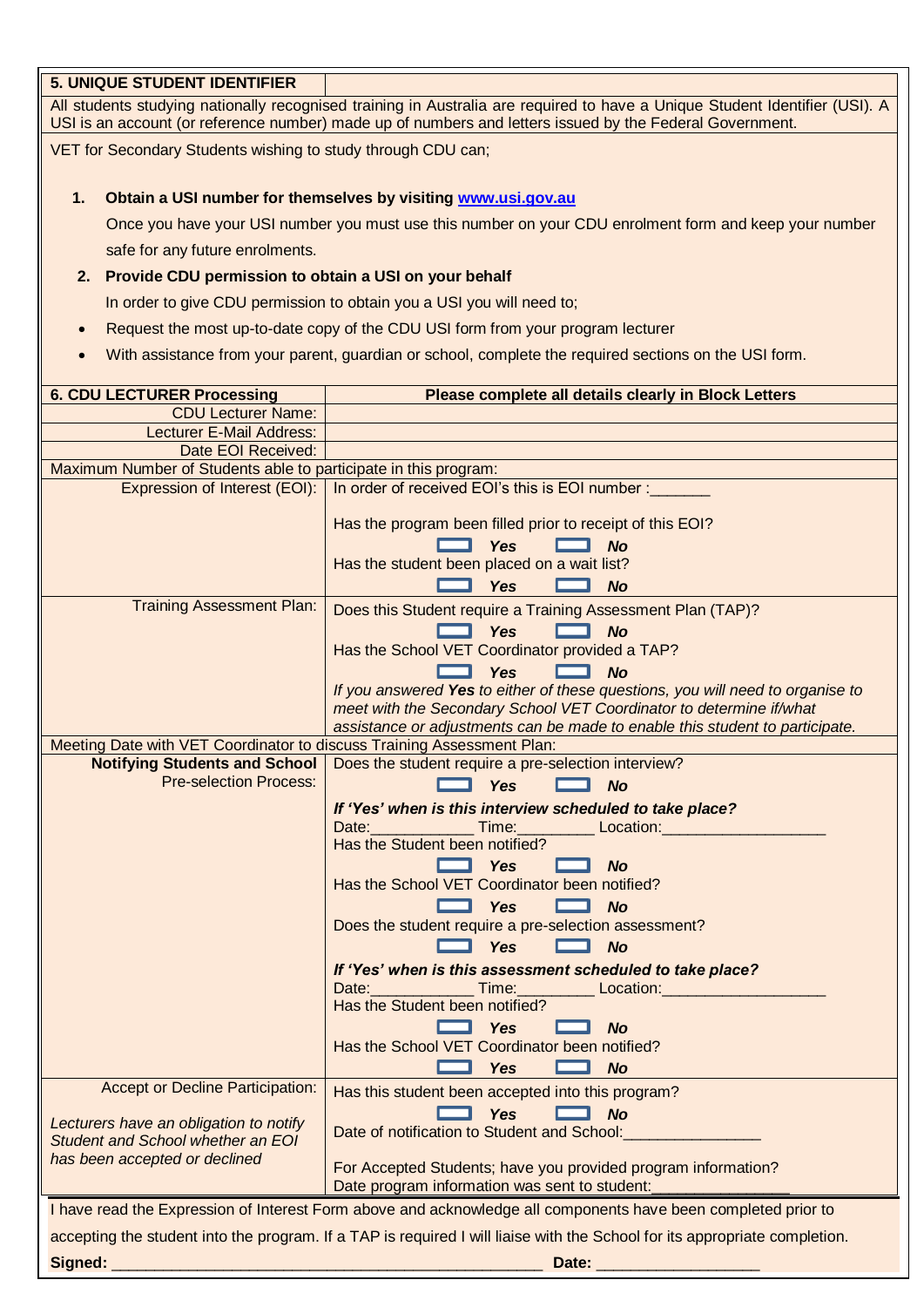#### **5. UNIQUE STUDENT IDENTIFIER**

All students studying nationally recognised training in Australia are required to have a Unique Student Identifier (USI). A USI is an account (or reference number) made up of numbers and letters issued by the Federal Government.

VET for Secondary Students wishing to study through CDU can;

### **1. Obtain a USI number for themselves by visiting [www.usi.gov.au](http://www.usi.gov.au/)**

Once you have your USI number you must use this number on your CDU enrolment form and keep your number safe for any future enrolments.

## **2. Provide CDU permission to obtain a USI on your behalf**

In order to give CDU permission to obtain you a USI you will need to;

- Request the most up-to-date copy of the CDU USI form from your program lecturer
- With assistance from your parent, guardian or school, complete the required sections on the USI form.

| <b>6. CDU LECTURER Processing</b>                                                                                                                                  | Please complete all details clearly in Block Letters                            |  |  |
|--------------------------------------------------------------------------------------------------------------------------------------------------------------------|---------------------------------------------------------------------------------|--|--|
| <b>CDU Lecturer Name:</b>                                                                                                                                          |                                                                                 |  |  |
| Lecturer E-Mail Address:                                                                                                                                           |                                                                                 |  |  |
| Date EOI Received:                                                                                                                                                 |                                                                                 |  |  |
| Maximum Number of Students able to participate in this program:                                                                                                    |                                                                                 |  |  |
|                                                                                                                                                                    | Expression of Interest (EOI):   In order of received EOI's this is EOI number : |  |  |
|                                                                                                                                                                    | Has the program been filled prior to receipt of this EOI?                       |  |  |
|                                                                                                                                                                    | <b>Yes</b><br><b>No</b>                                                         |  |  |
|                                                                                                                                                                    | Has the student been placed on a wait list?                                     |  |  |
|                                                                                                                                                                    | <b>Yes</b><br><b>No</b>                                                         |  |  |
| <b>Training Assessment Plan:</b>                                                                                                                                   | Does this Student require a Training Assessment Plan (TAP)?                     |  |  |
|                                                                                                                                                                    | Yes<br><b>No</b>                                                                |  |  |
|                                                                                                                                                                    | Has the School VET Coordinator provided a TAP?                                  |  |  |
|                                                                                                                                                                    | <b>Yes</b><br><b>No</b>                                                         |  |  |
|                                                                                                                                                                    | If you answered Yes to either of these questions, you will need to organise to  |  |  |
|                                                                                                                                                                    | meet with the Secondary School VET Coordinator to determine if/what             |  |  |
|                                                                                                                                                                    | assistance or adjustments can be made to enable this student to participate.    |  |  |
| Meeting Date with VET Coordinator to discuss Training Assessment Plan:                                                                                             |                                                                                 |  |  |
| <b>Notifying Students and School</b>                                                                                                                               | Does the student require a pre-selection interview?                             |  |  |
| <b>Pre-selection Process:</b>                                                                                                                                      | <b>Yes</b><br><b>No</b><br><b>Property</b>                                      |  |  |
|                                                                                                                                                                    | If 'Yes' when is this interview scheduled to take place?                        |  |  |
|                                                                                                                                                                    | Time:<br>Date:<br><b>Example 2</b> Location:                                    |  |  |
|                                                                                                                                                                    | Has the Student been notified?                                                  |  |  |
|                                                                                                                                                                    | <b>Yes</b><br><b>No</b>                                                         |  |  |
|                                                                                                                                                                    | Has the School VET Coordinator been notified?                                   |  |  |
|                                                                                                                                                                    | <b>Yes</b><br><b>No</b><br><u> La Bar</u>                                       |  |  |
|                                                                                                                                                                    | Does the student require a pre-selection assessment?                            |  |  |
|                                                                                                                                                                    | <b>Yes</b><br><b>No</b>                                                         |  |  |
|                                                                                                                                                                    | If 'Yes' when is this assessment scheduled to take place?                       |  |  |
|                                                                                                                                                                    | Date: Time: Time:<br>_ Location:_                                               |  |  |
|                                                                                                                                                                    | Has the Student been notified?                                                  |  |  |
|                                                                                                                                                                    | <b>Yes</b><br><b>No</b>                                                         |  |  |
|                                                                                                                                                                    | Has the School VET Coordinator been notified?                                   |  |  |
|                                                                                                                                                                    | <b>Yes</b><br><b>No</b>                                                         |  |  |
| Accept or Decline Participation:                                                                                                                                   | Has this student been accepted into this program?                               |  |  |
|                                                                                                                                                                    | <b>Yes</b><br><b>No</b>                                                         |  |  |
| Lecturers have an obligation to notify                                                                                                                             | Date of notification to Student and School:                                     |  |  |
| Student and School whether an EOI                                                                                                                                  |                                                                                 |  |  |
| has been accepted or declined                                                                                                                                      | For Accepted Students; have you provided program information?                   |  |  |
|                                                                                                                                                                    | Date program information was sent to student:                                   |  |  |
| I have read the Expression of Interest Form above and acknowledge all components have been completed prior to                                                      |                                                                                 |  |  |
| accepting the student into the program. If a TAP is required I will liaise with the School for its appropriate completion.                                         |                                                                                 |  |  |
| Signed:<br><u> 1989 - Johann Stein, marwolaethau a bhann an t-Amhainn an t-Amhainn an t-Amhainn an t-Amhainn an t-Amhainn an </u><br>Date: _______________________ |                                                                                 |  |  |
|                                                                                                                                                                    |                                                                                 |  |  |